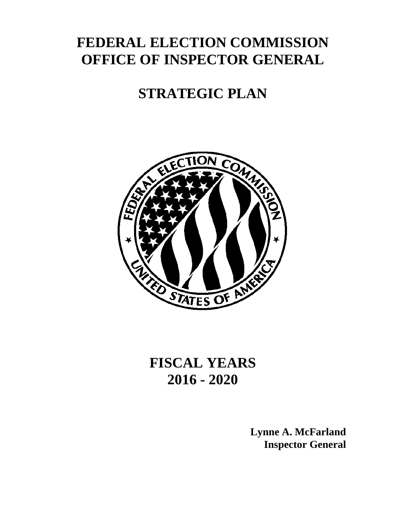# **FEDERAL ELECTION COMMISSION OFFICE OF INSPECTOR GENERAL**

# **STRATEGIC PLAN**



**FISCAL YEARS 2016 - 2020**

> **Lynne A. McFarland Inspector General**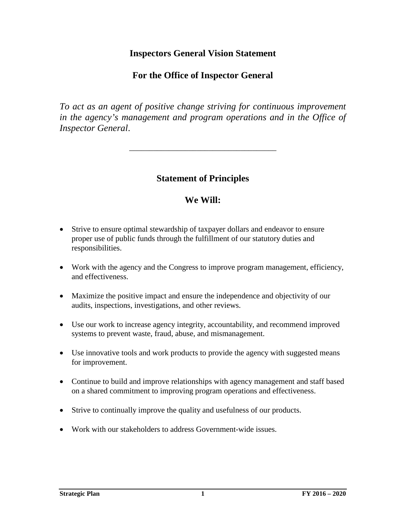## **Inspectors General Vision Statement**

## **For the Office of Inspector General**

*To act as an agent of positive change striving for continuous improvement in the agency's management and program operations and in the Office of Inspector General*.

### **Statement of Principles**

\_\_\_\_\_\_\_\_\_\_\_\_\_\_\_\_\_\_\_\_\_\_\_\_\_\_\_\_\_\_\_\_\_\_\_\_\_

## **We Will:**

- Strive to ensure optimal stewardship of taxpayer dollars and endeavor to ensure proper use of public funds through the fulfillment of our statutory duties and responsibilities.
- Work with the agency and the Congress to improve program management, efficiency, and effectiveness.
- Maximize the positive impact and ensure the independence and objectivity of our audits, inspections, investigations, and other reviews.
- Use our work to increase agency integrity, accountability, and recommend improved systems to prevent waste, fraud, abuse, and mismanagement.
- Use innovative tools and work products to provide the agency with suggested means for improvement.
- Continue to build and improve relationships with agency management and staff based on a shared commitment to improving program operations and effectiveness.
- Strive to continually improve the quality and usefulness of our products.
- Work with our stakeholders to address Government-wide issues.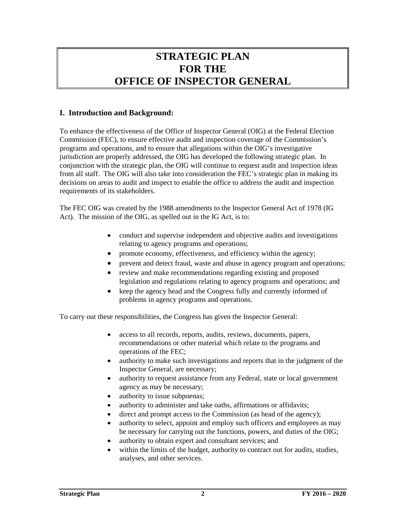# **STRATEGIC PLAN FOR THE OFFICE OF INSPECTOR GENERAL**

### **I. Introduction and Background:**

To enhance the effectiveness of the Office of Inspector General (OIG) at the Federal Election Commission (FEC), to ensure effective audit and inspection coverage of the Commission's programs and operations, and to ensure that allegations within the OIG's investigative jurisdiction are properly addressed, the OIG has developed the following strategic plan. In conjunction with the strategic plan, the OIG will continue to request audit and inspection ideas from all staff. The OIG will also take into consideration the FEC's strategic plan in making its decisions on areas to audit and inspect to enable the office to address the audit and inspection requirements of its stakeholders.

The FEC OIG was created by the 1988 amendments to the Inspector General Act of 1978 (IG Act). The mission of the OIG, as spelled out in the IG Act, is to:

- conduct and supervise independent and objective audits and investigations relating to agency programs and operations;
- promote economy, effectiveness, and efficiency within the agency;
- prevent and detect fraud, waste and abuse in agency program and operations;
- review and make recommendations regarding existing and proposed legislation and regulations relating to agency programs and operations; and
- keep the agency head and the Congress fully and currently informed of problems in agency programs and operations.

To carry out these responsibilities, the Congress has given the Inspector General:

- access to all records, reports, audits, reviews, documents, papers, recommendations or other material which relate to the programs and operations of the FEC;
- authority to make such investigations and reports that in the judgment of the Inspector General, are necessary;
- authority to request assistance from any Federal, state or local government agency as may be necessary;
- authority to issue subpoenas;
- authority to administer and take oaths, affirmations or affidavits;
- direct and prompt access to the Commission (as head of the agency);
- authority to select, appoint and employ such officers and employees as may be necessary for carrying out the functions, powers, and duties of the OIG;
- authority to obtain expert and consultant services; and
- within the limits of the budget, authority to contract out for audits, studies, analyses, and other services.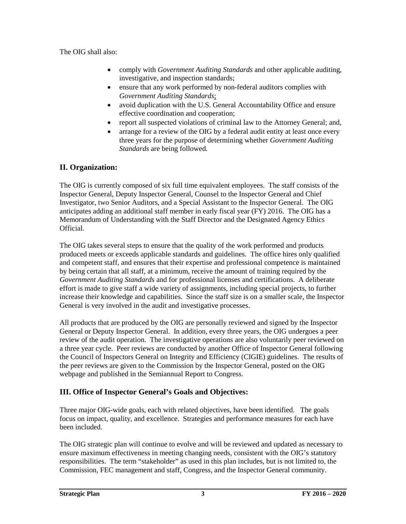The OIG shall also:

- comply with *Government Auditing Standards* and other applicable auditing, investigative, and inspection standards;
- ensure that any work performed by non-federal auditors complies with *Government Auditing Standards*;
- avoid duplication with the U.S. General Accountability Office and ensure effective coordination and cooperation;
- report all suspected violations of criminal law to the Attorney General; and,
- arrange for a review of the OIG by a federal audit entity at least once every three years for the purpose of determining whether *Government Auditing Standards* are being followed.

### **II. Organization:**

The OIG is currently composed of six full time equivalent employees. The staff consists of the Inspector General, Deputy Inspector General, Counsel to the Inspector General and Chief Investigator, two Senior Auditors, and a Special Assistant to the Inspector General. The OIG anticipates adding an additional staff member in early fiscal year (FY) 2016. The OIG has a Memorandum of Understanding with the Staff Director and the Designated Agency Ethics Official.

The OIG takes several steps to ensure that the quality of the work performed and products produced meets or exceeds applicable standards and guidelines. The office hires only qualified and competent staff, and ensures that their expertise and professional competence is maintained by being certain that all staff, at a minimum, receive the amount of training required by the *Government Auditing Standards* and for professional licenses and certifications. A deliberate effort is made to give staff a wide variety of assignments, including special projects, to further increase their knowledge and capabilities. Since the staff size is on a smaller scale, the Inspector General is very involved in the audit and investigative processes.

All products that are produced by the OIG are personally reviewed and signed by the Inspector General or Deputy Inspector General. In addition, every three years, the OIG undergoes a peer review of the audit operation. The investigative operations are also voluntarily peer reviewed on a three year cycle. Peer reviews are conducted by another Office of Inspector General following the Council of Inspectors General on Integrity and Efficiency (CIGIE) guidelines. The results of the peer reviews are given to the Commission by the Inspector General, posted on the OIG webpage and published in the Semiannual Report to Congress.

### **III. Office of Inspector General's Goals and Objectives:**

Three major OIG-wide goals, each with related objectives, have been identified. The goals focus on impact, quality, and excellence. Strategies and performance measures for each have been included.

The OIG strategic plan will continue to evolve and will be reviewed and updated as necessary to ensure maximum effectiveness in meeting changing needs, consistent with the OIG's statutory responsibilities. The term "stakeholder" as used in this plan includes, but is not limited to, the Commission, FEC management and staff, Congress, and the Inspector General community.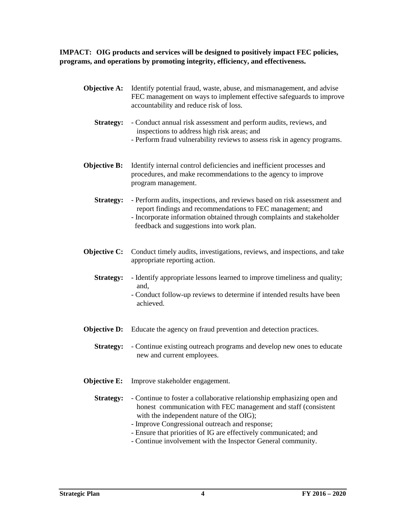**IMPACT: OIG products and services will be designed to positively impact FEC policies, programs, and operations by promoting integrity, efficiency, and effectiveness.**

- **Objective A:** Identify potential fraud, waste, abuse, and mismanagement, and advise FEC management on ways to implement effective safeguards to improve accountability and reduce risk of loss.
	- **Strategy:** Conduct annual risk assessment and perform audits, reviews, and inspections to address high risk areas; and - Perform fraud vulnerability reviews to assess risk in agency programs.
- **Objective B:** Identify internal control deficiencies and inefficient processes and procedures, and make recommendations to the agency to improve program management.
	- **Strategy:** Perform audits, inspections, and reviews based on risk assessment and report findings and recommendations to FEC management; and - Incorporate information obtained through complaints and stakeholder feedback and suggestions into work plan.
- **Objective C:** Conduct timely audits, investigations, reviews, and inspections, and take appropriate reporting action.
	- **Strategy:** Identify appropriate lessons learned to improve timeliness and quality; and,
		- Conduct follow-up reviews to determine if intended results have been achieved.
- **Objective D:** Educate the agency on fraud prevention and detection practices.
	- **Strategy:** Continue existing outreach programs and develop new ones to educate new and current employees.
- **Objective E:** Improve stakeholder engagement.
	- **Strategy:** Continue to foster a collaborative relationship emphasizing open and honest communication with FEC management and staff (consistent with the independent nature of the OIG);
		- Improve Congressional outreach and response;
		- Ensure that priorities of IG are effectively communicated; and
		- Continue involvement with the Inspector General community.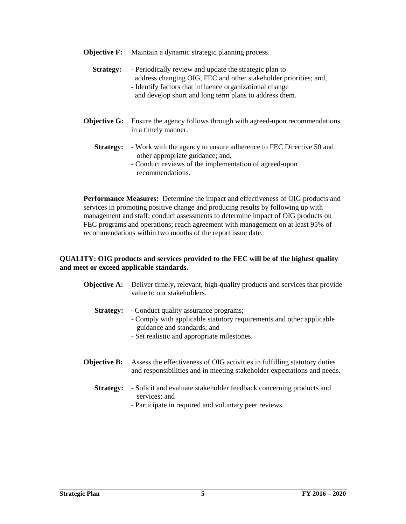- **Objective F:** Maintain a dynamic strategic planning process.
	- **Strategy:** Periodically review and update the strategic plan to address changing OIG, FEC and other stakeholder priorities; and, - Identify factors that influence organizational change and develop short and long term plans to address them.
- **Objective G:** Ensure the agency follows through with agreed-upon recommendations in a timely manner.
	- **Strategy:** Work with the agency to ensure adherence to FEC Directive 50 and other appropriate guidance; and,
		- Conduct reviews of the implementation of agreed-upon recommendations.

**Performance Measures:** Determine the impact and effectiveness of OIG products and services in promoting positive change and producing results by following up with management and staff; conduct assessments to determine impact of OIG products on FEC programs and operations; reach agreement with management on at least 95% of recommendations within two months of the report issue date.

#### **QUALITY: OIG products and services provided to the FEC will be of the highest quality and meet or exceed applicable standards.**

**Objective A:** Deliver timely, relevant, high-quality products and services that provide value to our stakeholders. **Strategy:** - Conduct quality assurance programs; - Comply with applicable statutory requirements and other applicable guidance and standards; and - Set realistic and appropriate milestones. **Objective B:** Assess the effectiveness of OIG activities in fulfilling statutory duties and responsibilities and in meeting stakeholder expectations and needs.  **Strategy:** - Solicit and evaluate stakeholder feedback concerning products and services; and - Participate in required and voluntary peer reviews.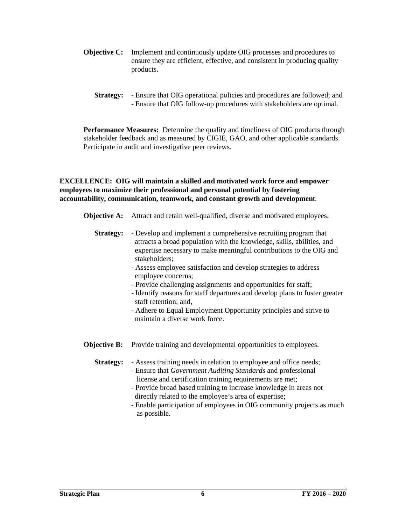- **Objective C:** Implement and continuously update OIG processes and procedures to ensure they are efficient, effective, and consistent in producing quality products.
	- **Strategy:** Ensure that OIG operational policies and procedures are followed; and - Ensure that OIG follow-up procedures with stakeholders are optimal.

**Performance Measures:** Determine the quality and timeliness of OIG products through stakeholder feedback and as measured by CIGIE, GAO, and other applicable standards. Participate in audit and investigative peer reviews.

**EXCELLENCE: OIG will maintain a skilled and motivated work force and empower employees to maximize their professional and personal potential by fostering accountability, communication, teamwork, and constant growth and developmen**t.

- **Objective A:** Attract and retain well-qualified, diverse and motivated employees.
	- **Strategy:** Develop and implement a comprehensive recruiting program that attracts a broad population with the knowledge, skills, abilities, and expertise necessary to make meaningful contributions to the OIG and stakeholders;
		- Assess employee satisfaction and develop strategies to address employee concerns;
		- Provide challenging assignments and opportunities for staff;
		- Identify reasons for staff departures and develop plans to foster greater staff retention; and,
		- Adhere to Equal Employment Opportunity principles and strive to maintain a diverse work force.
- **Objective B:** Provide training and developmental opportunities to employees.

**Strategy:** - Assess training needs in relation to employee and office needs;

- Ensure that *Government Auditing Standards* and professional license and certification training requirements are met;
- Provide broad based training to increase knowledge in areas not directly related to the employee's area of expertise;
- Enable participation of employees in OIG community projects as much as possible.